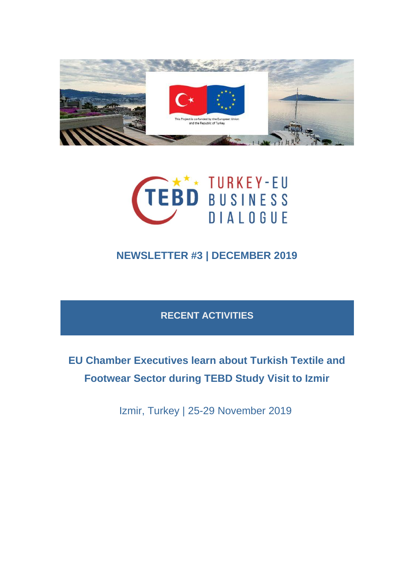



## **NEWSLETTER #3 | DECEMBER 2019**

#### **RECENT ACTIVITIES**

# **EU Chamber Executives learn about Turkish Textile and Footwear Sector during TEBD Study Visit to Izmir**

Izmir, Turkey | 25-29 November 2019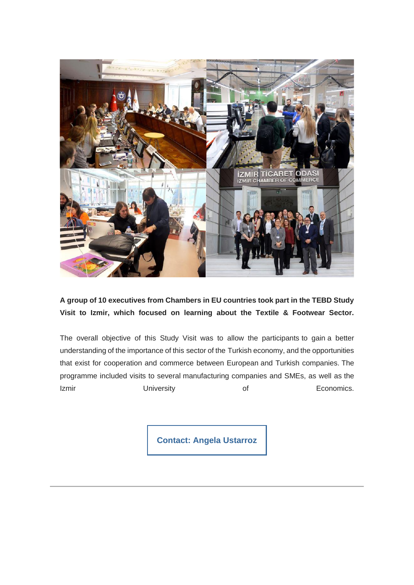

**A group of 10 executives from Chambers in EU countries took part in the TEBD Study Visit to Izmir, which focused on learning about the Textile & Footwear Sector.**

The overall objective of this Study Visit was to allow the participants to gain a better understanding of the importance of this sector of the Turkish economy, and the opportunities that exist for cooperation and commerce between European and Turkish companies. The programme included visits to several manufacturing companies and SMEs, as well as the Izmir **University Of** Economics.

**[Contact: Angela Ustarroz](mailto:ustarroz@eurochambres.eu?subject=TEBD%20Study%20Visit)**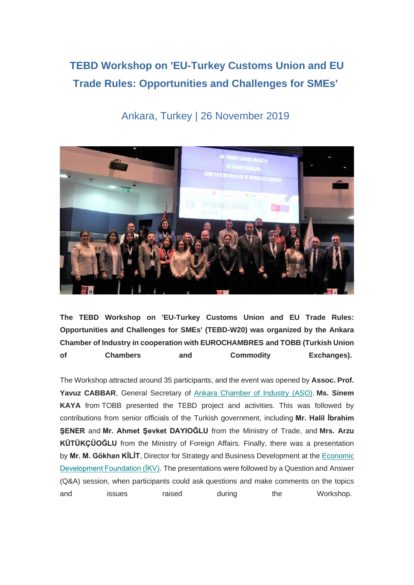## **TEBD Workshop on 'EU-Turkey Customs Union and EU Trade Rules: Opportunities and Challenges for SMEs'**



#### Ankara, Turkey | 26 November 2019

**The TEBD Workshop on 'EU-Turkey Customs Union and EU Trade Rules: Opportunities and Challenges for SMEs' (TEBD-W20) was organized by the Ankara Chamber of Industry in cooperation with EUROCHAMBRES and TOBB (Turkish Union of Chambers and Commodity Exchanges).**

The Workshop attracted around 35 participants, and the event was opened by **Assoc. Prof. Yavuz CABBAR**, General Secretary of [Ankara Chamber of Industry \(ASO\).](https://tebd.us20.list-manage.com/track/click?u=fc97fe7a1cb80e237945d582e&id=7bb4f25025&e=4f94ac0df0) **Ms. Sinem KAYA** from TOBB presented the TEBD project and activities. This was followed by contributions from senior officials of the Turkish government, including **Mr. Halil İbrahim ŞENER** and **Mr. Ahmet Şevket DAYIOĞLU** from the Ministry of Trade, and **Mrs. Arzu KÜTÜKÇÜOĞLU** from the Ministry of Foreign Affairs. Finally, there was a presentation by **Mr. M. Gökhan KİLİT**, Director for Strategy and Business Development at the [Economic](https://tebd.us20.list-manage.com/track/click?u=fc97fe7a1cb80e237945d582e&id=09e5729392&e=4f94ac0df0)  [Development Foundation \(İKV\).](https://tebd.us20.list-manage.com/track/click?u=fc97fe7a1cb80e237945d582e&id=09e5729392&e=4f94ac0df0) The presentations were followed by a Question and Answer (Q&A) session, when participants could ask questions and make comments on the topics and issues raised during the Workshop.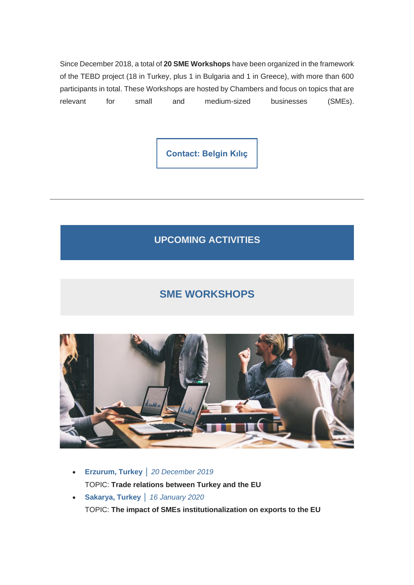Since December 2018, a total of **20 SME Workshops** have been organized in the framework of the TEBD project (18 in Turkey, plus 1 in Bulgaria and 1 in Greece), with more than 600 participants in total. These Workshops are hosted by Chambers and focus on topics that are relevant for small and medium-sized businesses (SMEs).

**[Contact: Belgin Kılıç](mailto:kilic@eurochambre.eu?subject=SME%20Workshops)**

**UPCOMING ACTIVITIES**

### **SME WORKSHOPS**



- **Erzurum, Turkey** │ *20 December 2019* TOPIC: **Trade relations between Turkey and the EU**
- **Sakarya, Turkey** │ *16 January 2020* TOPIC: **The impact of SMEs institutionalization on exports to the EU**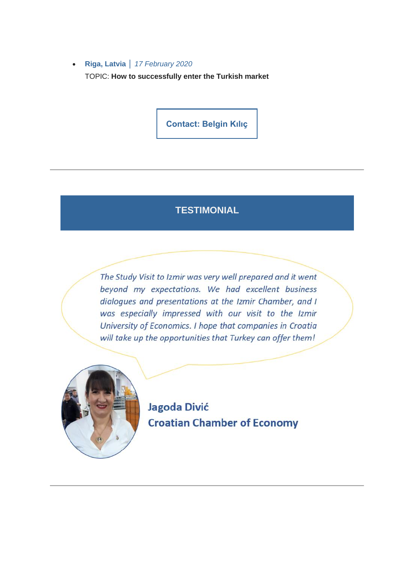• **Riga, Latvia** │ *17 February 2020* TOPIC: **How to successfully enter the Turkish market**

**[Contact: Belgin Kılıç](mailto:kilic@eurochambre.eu?subject=SME%20Workshops)**

#### **TESTIMONIAL**

The Study Visit to Izmir was very well prepared and it went beyond my expectations. We had excellent business dialogues and presentations at the Izmir Chamber, and I was especially impressed with our visit to the Izmir University of Economics. I hope that companies in Croatia will take up the opportunities that Turkey can offer them!



Jagoda Divić **Croatian Chamber of Economy**